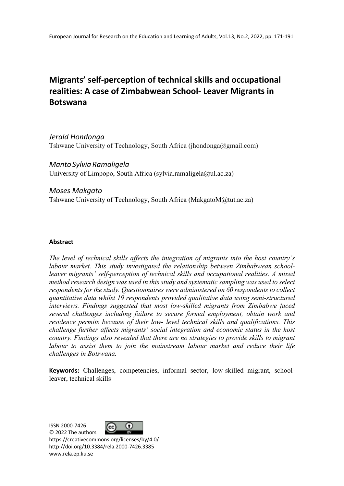# **Migrants' self-perception of technical skills and occupational realities: A case of Zimbabwean School- Leaver Migrants in Botswana**

*Jerald Hondonga* Tshwane University of Technology, South Africa (jhondonga@gmail.com)

*Manto Sylvia Ramaligela*  University of Limpopo, South Africa (sylvia.ramaligela@ul.ac.za)

# *Moses Makgato*

Tshwane University of Technology, South Africa (MakgatoM@tut.ac.za)

# **Abstract**

*The level of technical skills affects the integration of migrants into the host country's labour market. This study investigated the relationship between Zimbabwean schoolleaver migrants' self-perception of technical skills and occupational realities. A mixed method research design was used in this study and systematic sampling was used to select respondents for the study. Questionnaires were administered on 60 respondents to collect quantitative data whilst 19 respondents provided qualitative data using semi-structured interviews. Findings suggested that most low-skilled migrants from Zimbabwe faced several challenges including failure to secure formal employment, obtain work and residence permits because of their low- level technical skills and qualifications. This challenge further affects migrants' social integration and economic status in the host country. Findings also revealed that there are no strategies to provide skills to migrant*  labour to assist them to join the mainstream labour market and reduce their life *challenges in Botswana.*

**Keywords:** Challenges, competencies, informal sector, low-skilled migrant, schoolleaver, technical skills

ISSN 2000-7426



© 2022 The authors https://creativecommons.org/licenses/by/4.0/ http://doi.org/10.3384/rela.2000-7426.3385 www.rela.ep.liu.se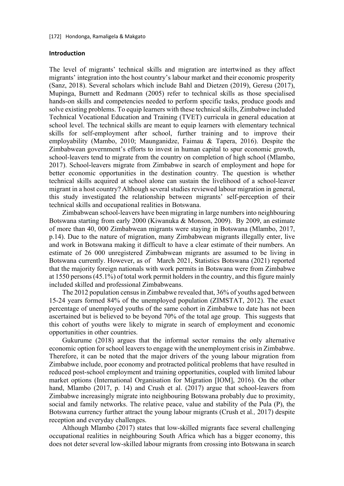#### **Introduction**

The level of migrants' technical skills and migration are intertwined as they affect migrants' integration into the host country's labour market and their economic prosperity (Sanz, 2018). Several scholars which include Bahl and Dietzen (2019), Geresu (2017), Mupinga, Burnett and Redmann (2005) refer to technical skills as those specialised hands-on skills and competencies needed to perform specific tasks, produce goods and solve existing problems. To equip learners with these technical skills, Zimbabwe included Technical Vocational Education and Training (TVET) curricula in general education at school level. The technical skills are meant to equip learners with elementary technical skills for self-employment after school, further training and to improve their employability (Mambo, 2010; Maunganidze, Faimau & Tapera, 2016). Despite the Zimbabwean government's efforts to invest in human capital to spur economic growth, school-leavers tend to migrate from the country on completion of high school (Mlambo, 2017). School-leavers migrate from Zimbabwe in search of employment and hope for better economic opportunities in the destination country. The question is whether technical skills acquired at school alone can sustain the livelihood of a school-leaver migrant in a host country? Although several studies reviewed labour migration in general, this study investigated the relationship between migrants' self-perception of their technical skills and occupational realities in Botswana.

Zimbabwean school-leavers have been migrating in large numbers into neighbouring Botswana starting from early 2000 (Kiwanuka & Monson, 2009). By 2009, an estimate of more than 40, 000 Zimbabwean migrants were staying in Botswana (Mlambo, 2017, p.14). Due to the nature of migration, many Zimbabwean migrants illegally enter, live and work in Botswana making it difficult to have a clear estimate of their numbers. An estimate of 26 000 unregistered Zimbabwean migrants are assumed to be living in Botswana currently. However, as of March 2021, Statistics Botswana (2021) reported that the majority foreign nationals with work permits in Botswana were from Zimbabwe at 1550 persons (45.1%) of total work permit holders in the country, and this figure mainly included skilled and professional Zimbabweans.

The 2012 population census in Zimbabwe revealed that, 36% of youths aged between 15-24 years formed 84% of the unemployed population (ZIMSTAT, 2012). The exact percentage of unemployed youths of the same cohort in Zimbabwe to date has not been ascertained but is believed to be beyond 70% of the total age group. This suggests that this cohort of youths were likely to migrate in search of employment and economic opportunities in other countries.

Gukurume (2018) argues that the informal sector remains the only alternative economic option for school leavers to engage with the unemployment crisis in Zimbabwe. Therefore, it can be noted that the major drivers of the young labour migration from Zimbabwe include, poor economy and protracted political problems that have resulted in reduced post-school employment and training opportunities, coupled with limited labour market options (International Organisation for Migration [IOM], 2016). On the other hand, Mlambo (2017, p. 14) and Crush et al. (2017) argue that school-leavers from Zimbabwe increasingly migrate into neighbouring Botswana probably due to proximity, social and family networks. The relative peace, value and stability of the Pula (P), the Botswana currency further attract the young labour migrants (Crush et al*.,* 2017) despite reception and everyday challenges.

Although Mlambo (2017) states that low-skilled migrants face several challenging occupational realities in neighbouring South Africa which has a bigger economy, this does not deter several low-skilled labour migrants from crossing into Botswana in search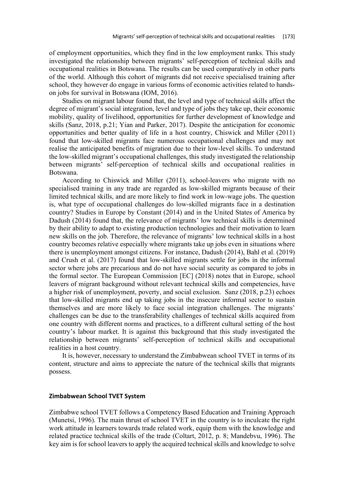of employment opportunities, which they find in the low employment ranks. This study investigated the relationship between migrants' self-perception of technical skills and occupational realities in Botswana. The results can be used comparatively in other parts of the world. Although this cohort of migrants did not receive specialised training after school, they however do engage in various forms of economic activities related to handson jobs for survival in Botswana (IOM, 2016).

Studies on migrant labour found that, the level and type of technical skills affect the degree of migrant's social integration, level and type of jobs they take up, their economic mobility, quality of livelihood, opportunities for further development of knowledge and skills (Sanz, 2018, p.21; Yian and Parker, 2017). Despite the anticipation for economic opportunities and better quality of life in a host country, Chiswick and Miller (2011) found that low-skilled migrants face numerous occupational challenges and may not realise the anticipated benefits of migration due to their low-level skills. To understand the low-skilled migrant's occupational challenges, this study investigated the relationship between migrants' self-perception of technical skills and occupational realities in Botswana.

According to Chiswick and Miller (2011), school-leavers who migrate with no specialised training in any trade are regarded as low-skilled migrants because of their limited technical skills, and are more likely to find work in low-wage jobs. The question is, what type of occupational challenges do low-skilled migrants face in a destination country? Studies in Europe by Constant (2014) and in the United States of America by Dadush (2014) found that, the relevance of migrants' low technical skills is determined by their ability to adapt to existing production technologies and their motivation to learn new skills on the job. Therefore, the relevance of migrants' low technical skills in a host country becomes relative especially where migrants take up jobs even in situations where there is unemployment amongst citizens. For instance, Dadush (2014), Bahl et al. (2019) and Crush et al. (2017) found that low-skilled migrants settle for jobs in the informal sector where jobs are precarious and do not have social security as compared to jobs in the formal sector. The European Commission [EC] (2018) notes that in Europe, school leavers of migrant background without relevant technical skills and competencies, have a higher risk of unemployment, poverty, and social exclusion. Sanz (2018, p.23) echoes that low-skilled migrants end up taking jobs in the insecure informal sector to sustain themselves and are more likely to face social integration challenges. The migrants' challenges can be due to the transferability challenges of technical skills acquired from one country with different norms and practices, to a different cultural setting of the host country's labour market. It is against this background that this study investigated the relationship between migrants' self-perception of technical skills and occupational realities in a host country.

It is, however, necessary to understand the Zimbabwean school TVET in terms of its content, structure and aims to appreciate the nature of the technical skills that migrants possess.

#### **Zimbabwean School TVET System**

Zimbabwe school TVET follows a Competency Based Education and Training Approach (Munetsi, 1996). The main thrust of school TVET in the country is to inculcate the right work attitude in learners towards trade related work, equip them with the knowledge and related practice technical skills of the trade (Coltart, 2012, p. 8; Mandebvu, 1996). The key aim is for school leavers to apply the acquired technical skills and knowledge to solve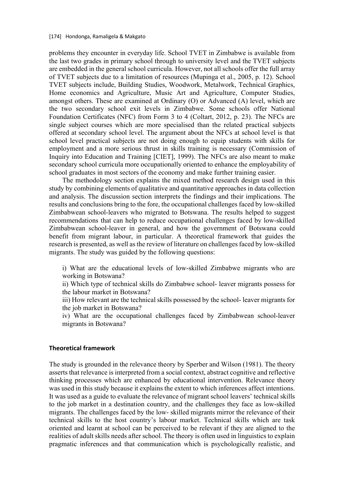problems they encounter in everyday life. School TVET in Zimbabwe is available from the last two grades in primary school through to university level and the TVET subjects are embedded in the general school curricula. However, not all schools offer the full array of TVET subjects due to a limitation of resources (Mupinga et al., 2005, p. 12). School TVET subjects include, Building Studies, Woodwork, Metalwork, Technical Graphics, Home economics and Agriculture, Music Art and Agriculture, Computer Studies, amongst others. These are examined at Ordinary (O) or Advanced (A) level, which are the two secondary school exit levels in Zimbabwe. Some schools offer National Foundation Certificates (NFC) from Form 3 to 4 (Coltart, 2012, p. 23). The NFCs are single subject courses which are more specialised than the related practical subjects offered at secondary school level. The argument about the NFCs at school level is that school level practical subjects are not doing enough to equip students with skills for employment and a more serious thrust in skills training is necessary (Commission of Inquiry into Education and Training [CIET], 1999). The NFCs are also meant to make secondary school curricula more occupationally oriented to enhance the employability of school graduates in most sectors of the economy and make further training easier.

The methodology section explains the mixed method research design used in this study by combining elements of qualitative and quantitative approaches in data collection and analysis. The discussion section interprets the findings and their implications. The results and conclusions bring to the fore, the occupational challenges faced by low-skilled Zimbabwean school-leavers who migrated to Botswana. The results helped to suggest recommendations that can help to reduce occupational challenges faced by low-skilled Zimbabwean school-leaver in general, and how the government of Botswana could benefit from migrant labour, in particular. A theoretical framework that guides the research is presented, as well as the review of literature on challenges faced by low-skilled migrants. The study was guided by the following questions:

i) What are the educational levels of low-skilled Zimbabwe migrants who are working in Botswana?

ii) Which type of technical skills do Zimbabwe school- leaver migrants possess for the labour market in Botswana?

iii) How relevant are the technical skills possessed by the school- leaver migrants for the job market in Botswana?

iv) What are the occupational challenges faced by Zimbabwean school-leaver migrants in Botswana?

#### **Theoretical framework**

The study is grounded in the relevance theory by Sperber and Wilson (1981). The theory asserts that relevance is interpreted from a social context, abstract cognitive and reflective thinking processes which are enhanced by educational intervention. Relevance theory was used in this study because it explains the extent to which inferences affect intentions. It was used as a guide to evaluate the relevance of migrant school leavers' technical skills to the job market in a destination country, and the challenges they face as low-skilled migrants. The challenges faced by the low- skilled migrants mirror the relevance of their technical skills to the host country's labour market. Technical skills which are task oriented and learnt at school can be perceived to be relevant if they are aligned to the realities of adult skills needs after school. The theory is often used in linguistics to explain pragmatic inferences and that communication which is psychologically realistic, and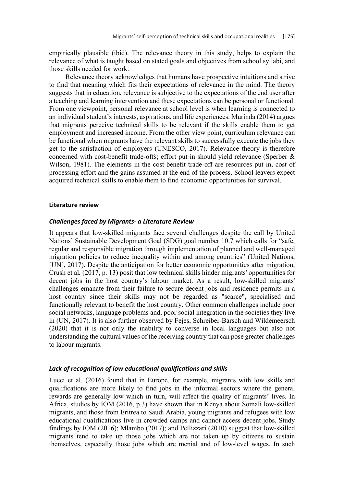empirically plausible (ibid). The relevance theory in this study, helps to explain the relevance of what is taught based on stated goals and objectives from school syllabi, and those skills needed for work.

Relevance theory acknowledges that humans have prospective intuitions and strive to find that meaning which fits their expectations of relevance in the mind. The theory suggests that in education, relevance is subjective to the expectations of the end user after a teaching and learning intervention and these expectations can be personal or functional. From one viewpoint, personal relevance at school level is when learning is connected to an individual student's interests, aspirations, and life experiences. Murinda (2014) argues that migrants perceive technical skills to be relevant if the skills enable them to get employment and increased income. From the other view point, curriculum relevance can be functional when migrants have the relevant skills to successfully execute the jobs they get to the satisfaction of employers (UNESCO, 2017). Relevance theory is therefore concerned with cost-benefit trade-offs; effort put in should yield relevance (Sperber & Wilson, 1981). The elements in the cost-benefit trade-off are resources put in, cost of processing effort and the gains assumed at the end of the process. School leavers expect acquired technical skills to enable them to find economic opportunities for survival.

#### **Literature review**

#### *Challenges faced by Migrants- a Literature Review*

It appears that low-skilled migrants face several challenges despite the call by United Nations' Sustainable Development Goal (SDG) goal number 10.7 which calls for "safe, regular and responsible migration through implementation of planned and well-managed migration policies to reduce inequality within and among countries" (United Nations, [UN], 2017). Despite the anticipation for better economic opportunities after migration, Crush et al*.* (2017, p. 13) posit that low technical skills hinder migrants' opportunities for decent jobs in the host country's labour market. As a result, low-skilled migrants' challenges emanate from their failure to secure decent jobs and residence permits in a host country since their skills may not be regarded as "scarce", specialised and functionally relevant to benefit the host country. Other common challenges include poor social networks, language problems and, poor social integration in the societies they live in (UN, 2017). It is also further observed by Fejes, Schreiber-Barsch and Wildemeersch (2020) that it is not only the inability to converse in local languages but also not understanding the cultural values of the receiving country that can pose greater challenges to labour migrants.

#### *Lack of recognition of low educational qualifications and skills*

Lucci et al. (2016) found that in Europe, for example, migrants with low skills and qualifications are more likely to find jobs in the informal sectors where the general rewards are generally low which in turn, will affect the quality of migrants' lives. In Africa, studies by IOM (2016, p.3) have shown that in Kenya about Somali low-skilled migrants, and those from Eritrea to Saudi Arabia, young migrants and refugees with low educational qualifications live in crowded camps and cannot access decent jobs. Study findings by IOM (2016); Mlambo (2017); and Pellizzari (2010) suggest that low-skilled migrants tend to take up those jobs which are not taken up by citizens to sustain themselves, especially those jobs which are menial and of low-level wages. In such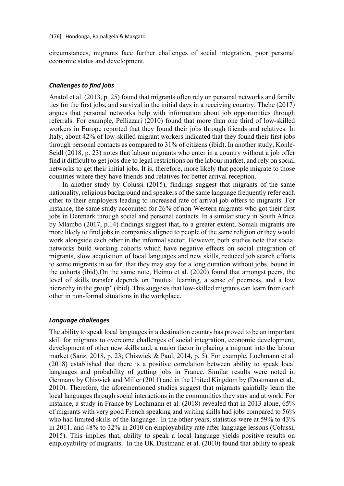circumstances, migrants face further challenges of social integration, poor personal economic status and development.

## *Challenges to find jobs*

Anatol et al. (2013, p. 25) found that migrants often rely on personal networks and family ties for the first jobs, and survival in the initial days in a receiving country. Thebe (2017) argues that personal networks help with information about job opportunities through referrals. For example, Pellizzari (2010) found that more than one third of low-skilled workers in Europe reported that they found their jobs through friends and relatives. In Italy, about 42% of low-skilled migrant workers indicated that they found their first jobs through personal contacts as compared to 31% of citizens (ibid). In another study, Konle-Seidl (2018, p. 23) notes that labour migrants who enter in a country without a job offer find it difficult to get jobs due to legal restrictions on the labour market, and rely on social networks to get their initial jobs. It is, therefore, more likely that people migrate to those countries where they have friends and relatives for better arrival reception.

In another study by Colussi (2015), findings suggest that migrants of the same nationality, religious background and speakers of the same language frequently refer each other to their employers leading to increased rate of arrival job offers to migrants. For instance, the same study accounted for 26% of non-Western migrants who got their first jobs in Denmark through social and personal contacts. In a similar study in South Africa by Mlambo (2017, p.14) findings suggest that, to a greater extent, Somali migrants are more likely to find jobs in companies aligned to people of the same religion or they would work alongside each other in the informal sector. However, both studies note that social networks build working cohorts which have negative effects on social integration of migrants, slow acquisition of local languages and new skills, reduced job search efforts to some migrants in so far that they may stay for a long duration without jobs, bound in the cohorts (ibid).On the same note, Heimo et al. (2020) found that amongst peers, the level of skills transfer depends on "mutual learning, a sense of peerness, and a low hierarchy in the group" (ibid). This suggests that low-skilled migrants can learn from each other in non-formal situations in the workplace.

#### *Language challenges*

The ability to speak local languages in a destination country has proved to be an important skill for migrants to overcome challenges of social integration, economic development, development of other new skills and, a major factor in placing a migrant into the labour market (Sanz, 2018, p. 23; Chiswick & Paul, 2014, p. 5). For example, Lochmann et al. (2018) established that there is a positive correlation between ability to speak local languages and probability of getting jobs in France. Similar results were noted in Germany by Chiswick and Miller (2011) and in the United Kingdom by (Dustmann et al., 2010). Therefore, the aforementioned studies suggest that migrants gainfully learn the local languages through social interactions in the communities they stay and at work. For instance, a study in France by Lochmann et al. (2018) revealed that in 2013 alone, 65% of migrants with very good French speaking and writing skills had jobs compared to 56% who had limited skills of the language. In the other years, statistics were at 59% to 43% in 2011, and 48% to 32% in 2010 on employability rate after language lessons (Colussi, 2015). This implies that, ability to speak a local language yields positive results on employability of migrants. In the UK Dustmann et al. (2010) found that ability to speak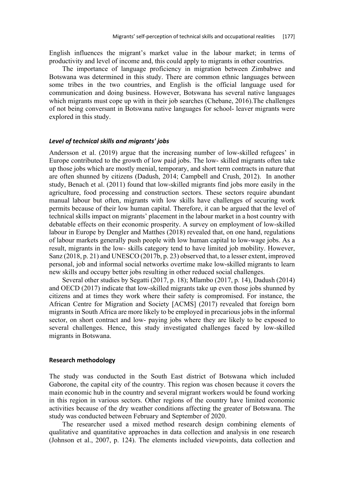English influences the migrant's market value in the labour market; in terms of productivity and level of income and, this could apply to migrants in other countries.

The importance of language proficiency in migration between Zimbabwe and Botswana was determined in this study. There are common ethnic languages between some tribes in the two countries, and English is the official language used for communication and doing business. However, Botswana has several native languages which migrants must cope up with in their job searches (Chebane, 2016). The challenges of not being conversant in Botswana native languages for school- leaver migrants were explored in this study.

#### *Level of technical skills and migrants' jobs*

Andersson et al. (2019) argue that the increasing number of low-skilled refugees' in Europe contributed to the growth of low paid jobs. The low- skilled migrants often take up those jobs which are mostly menial, temporary, and short term contracts in nature that are often shunned by citizens (Dadush, 2014; Campbell and Crush, 2012). In another study, Benach et al. (2011) found that low-skilled migrants find jobs more easily in the agriculture, food processing and construction sectors. These sectors require abundant manual labour but often, migrants with low skills have challenges of securing work permits because of their low human capital. Therefore, it can be argued that the level of technical skills impact on migrants' placement in the labour market in a host country with debatable effects on their economic prosperity. A survey on employment of low-skilled labour in Europe by Dengler and Matthes (2018) revealed that, on one hand, regulations of labour markets generally push people with low human capital to low-wage jobs. As a result, migrants in the low- skills category tend to have limited job mobility. However, Sanz (2018, p. 21) and UNESCO (2017b, p. 23) observed that, to a lesser extent, improved personal, job and informal social networks overtime make low-skilled migrants to learn new skills and occupy better jobs resulting in other reduced social challenges.

Several other studies by Segatti (2017, p. 18); Mlambo (2017, p. 14), Dadush (2014) and OECD (2017) indicate that low-skilled migrants take up even those jobs shunned by citizens and at times they work where their safety is compromised. For instance, the African Centre for Migration and Society [ACMS] (2017) revealed that foreign born migrants in South Africa are more likely to be employed in precarious jobs in the informal sector, on short contract and low- paying jobs where they are likely to be exposed to several challenges. Hence, this study investigated challenges faced by low-skilled migrants in Botswana.

#### **Research methodology**

The study was conducted in the South East district of Botswana which included Gaborone, the capital city of the country. This region was chosen because it covers the main economic hub in the country and several migrant workers would be found working in this region in various sectors. Other regions of the country have limited economic activities because of the dry weather conditions affecting the greater of Botswana. The study was conducted between February and September of 2020.

The researcher used a mixed method research design combining elements of qualitative and quantitative approaches in data collection and analysis in one research (Johnson et al., 2007, p. 124). The elements included viewpoints, data collection and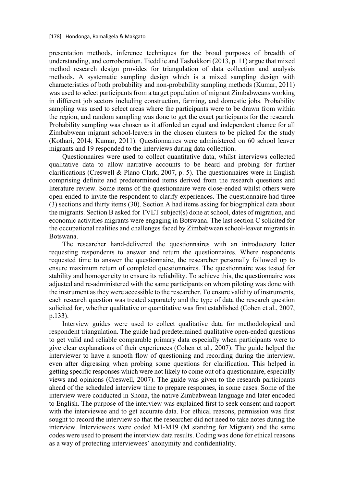presentation methods, inference techniques for the broad purposes of breadth of understanding, and corroboration. Tieddlie and Tashakkori (2013, p. 11) argue that mixed method research design provides for triangulation of data collection and analysis methods. A systematic sampling design which is a mixed sampling design with characteristics of both probability and non-probability sampling methods (Kumar, 2011) was used to select participants from a target population of migrant Zimbabweans working in different job sectors including construction, farming, and domestic jobs. Probability sampling was used to select areas where the participants were to be drawn from within the region, and random sampling was done to get the exact participants for the research. Probability sampling was chosen as it afforded an equal and independent chance for all Zimbabwean migrant school-leavers in the chosen clusters to be picked for the study (Kothari, 2014; Kumar, 2011). Questionnaires were administered on 60 school leaver migrants and 19 responded to the interviews during data collection.

Questionnaires were used to collect quantitative data, whilst interviews collected qualitative data to allow narrative accounts to be heard and probing for further clarifications (Creswell & Plano Clark, 2007, p. 5). The questionnaires were in English comprising definite and predetermined items derived from the research questions and literature review. Some items of the questionnaire were close-ended whilst others were open-ended to invite the respondent to clarify experiences. The questionnaire had three (3) sections and thirty items (30). Section A had items asking for biographical data about the migrants. Section B asked for TVET subject(s) done at school, dates of migration, and economic activities migrants were engaging in Botswana. The last section C solicited for the occupational realities and challenges faced by Zimbabwean school-leaver migrants in Botswana.

The researcher hand-delivered the questionnaires with an introductory letter requesting respondents to answer and return the questionnaires. Where respondents requested time to answer the questionnaire, the researcher personally followed up to ensure maximum return of completed questionnaires. The questionnaire was tested for stability and homogeneity to ensure its reliability. To achieve this, the questionnaire was adjusted and re-administered with the same participants on whom piloting was done with the instrument as they were accessible to the researcher. To ensure validity of instruments, each research question was treated separately and the type of data the research question solicited for, whether qualitative or quantitative was first established (Cohen et al., 2007, p.133).

Interview guides were used to collect qualitative data for methodological and respondent triangulation. The guide had predetermined qualitative open-ended questions to get valid and reliable comparable primary data especially when participants were to give clear explanations of their experiences (Cohen et al., 2007). The guide helped the interviewer to have a smooth flow of questioning and recording during the interview, even after digressing when probing some questions for clarification. This helped in getting specific responses which were not likely to come out of a questionnaire, especially views and opinions (Creswell, 2007). The guide was given to the research participants ahead of the scheduled interview time to prepare responses, in some cases. Some of the interview were conducted in Shona, the native Zimbabwean language and later encoded to English. The purpose of the interview was explained first to seek consent and rapport with the interviewee and to get accurate data. For ethical reasons, permission was first sought to record the interview so that the researcher did not need to take notes during the interview. Interviewees were coded M1-M19 (M standing for Migrant) and the same codes were used to present the interview data results. Coding was done for ethical reasons as a way of protecting interviewees' anonymity and confidentiality.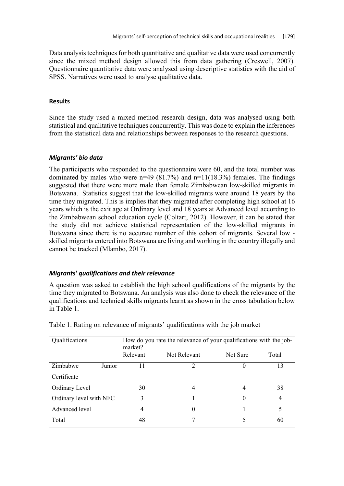Data analysis techniques for both quantitative and qualitative data were used concurrently since the mixed method design allowed this from data gathering (Creswell, 2007). Questionnaire quantitative data were analysed using descriptive statistics with the aid of SPSS. Narratives were used to analyse qualitative data.

### **Results**

Since the study used a mixed method research design, data was analysed using both statistical and qualitative techniques concurrently. This was done to explain the inferences from the statistical data and relationships between responses to the research questions.

## *Migrants' bio data*

The participants who responded to the questionnaire were 60, and the total number was dominated by males who were  $n=49$  (81.7%) and  $n=11(18.3%)$  females. The findings suggested that there were more male than female Zimbabwean low-skilled migrants in Botswana. Statistics suggest that the low-skilled migrants were around 18 years by the time they migrated. This is implies that they migrated after completing high school at 16 years which is the exit age at Ordinary level and 18 years at Advanced level according to the Zimbabwean school education cycle (Coltart, 2012). However, it can be stated that the study did not achieve statistical representation of the low-skilled migrants in Botswana since there is no accurate number of this cohort of migrants. Several low skilled migrants entered into Botswana are living and working in the country illegally and cannot be tracked (Mlambo, 2017).

#### *Migrants' qualifications and their relevance*

A question was asked to establish the high school qualifications of the migrants by the time they migrated to Botswana. An analysis was also done to check the relevance of the qualifications and technical skills migrants learnt as shown in the cross tabulation below in Table 1.

| Qualifications          |        | How do you rate the relevance of your qualifications with the job-<br>market? |              |          |       |  |
|-------------------------|--------|-------------------------------------------------------------------------------|--------------|----------|-------|--|
|                         |        | Relevant                                                                      | Not Relevant | Not Sure | Total |  |
| Zimbabwe                | Junior | 11                                                                            | າ            |          | 13    |  |
| Certificate             |        |                                                                               |              |          |       |  |
| Ordinary Level          |        | 30                                                                            | 4            | 4        | 38    |  |
| Ordinary level with NFC |        | 3                                                                             |              | $\Omega$ | 4     |  |
| Advanced level          |        | 4                                                                             | $\theta$     |          | 5     |  |
| Total                   |        | 48                                                                            |              |          | 60    |  |

Table 1. Rating on relevance of migrants' qualifications with the job market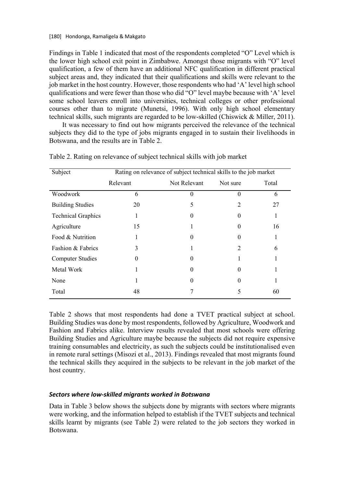Findings in Table 1 indicated that most of the respondents completed "O" Level which is the lower high school exit point in Zimbabwe. Amongst those migrants with "O" level qualification, a few of them have an additional NFC qualification in different practical subject areas and, they indicated that their qualifications and skills were relevant to the job market in the host country. However, those respondents who had 'A' level high school qualifications and were fewer than those who did "O" level maybe because with 'A' level some school leavers enroll into universities, technical colleges or other professional courses other than to migrate (Munetsi, 1996). With only high school elementary technical skills, such migrants are regarded to be low-skilled (Chiswick & Miller, 2011).

It was necessary to find out how migrants perceived the relevance of the technical subjects they did to the type of jobs migrants engaged in to sustain their livelihoods in Botswana, and the results are in Table 2.

| Subject                   | Rating on relevance of subject technical skills to the job market |              |          |       |
|---------------------------|-------------------------------------------------------------------|--------------|----------|-------|
|                           | Relevant                                                          | Not Relevant | Not sure | Total |
| Woodwork                  | 6                                                                 | 0            | $\Omega$ | 6     |
| <b>Building Studies</b>   | 20                                                                | 5            | 2        | 27    |
| <b>Technical Graphics</b> |                                                                   | 0            | $\Omega$ | 1     |
| Agriculture               | 15                                                                |              | $\Omega$ | 16    |
| Food & Nutrition          |                                                                   | 0            | $\Omega$ |       |
| Fashion & Fabrics         | 3                                                                 |              | 2        | 6     |
| <b>Computer Studies</b>   | $\Omega$                                                          | 0            |          |       |
| Metal Work                |                                                                   | 0            | 0        |       |
| None                      |                                                                   |              |          |       |
| Total                     | 48                                                                |              | 5        | 60    |

Table 2. Rating on relevance of subject technical skills with job market

Table 2 shows that most respondents had done a TVET practical subject at school. Building Studies was done by most respondents, followed by Agriculture, Woodwork and Fashion and Fabrics alike. Interview results revealed that most schools were offering Building Studies and Agriculture maybe because the subjects did not require expensive training consumables and electricity, as such the subjects could be institutionalised even in remote rural settings (Misozi et al., 2013). Findings revealed that most migrants found the technical skills they acquired in the subjects to be relevant in the job market of the host country.

## *Sectors where low-skilled migrants worked in Botswana*

Data in Table 3 below shows the subjects done by migrants with sectors where migrants were working, and the information helped to establish if the TVET subjects and technical skills learnt by migrants (see Table 2) were related to the job sectors they worked in Botswana.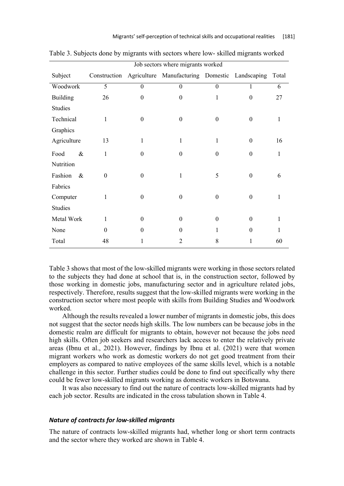|                 | Job sectors where migrants worked |                  |                                                             |                  |                  |       |
|-----------------|-----------------------------------|------------------|-------------------------------------------------------------|------------------|------------------|-------|
| Subject         |                                   |                  | Construction Agriculture Manufacturing Domestic Landscaping |                  |                  | Total |
| Woodwork        | $\overline{5}$                    | $\boldsymbol{0}$ | $\boldsymbol{0}$                                            | $\boldsymbol{0}$ | $\mathbf{1}$     | 6     |
| <b>Building</b> | 26                                | $\theta$         | $\boldsymbol{0}$                                            | $\mathbf{1}$     | $\theta$         | 27    |
| <b>Studies</b>  |                                   |                  |                                                             |                  |                  |       |
| Technical       | 1                                 | $\theta$         | $\boldsymbol{0}$                                            | $\boldsymbol{0}$ | $\theta$         | 1     |
| Graphics        |                                   |                  |                                                             |                  |                  |       |
| Agriculture     | 13                                | $\mathbf{1}$     | $\mathbf{1}$                                                | $\mathbf{1}$     | $\mathbf{0}$     | 16    |
| $\&$<br>Food    | $\mathbf{1}$                      | $\theta$         | $\theta$                                                    | $\boldsymbol{0}$ | $\Omega$         | 1     |
| Nutrition       |                                   |                  |                                                             |                  |                  |       |
| Fashion<br>$\&$ | $\boldsymbol{0}$                  | $\boldsymbol{0}$ | $\mathbf{1}$                                                | 5                | $\boldsymbol{0}$ | 6     |
| Fabrics         |                                   |                  |                                                             |                  |                  |       |
| Computer        | 1                                 | $\theta$         | $\boldsymbol{0}$                                            | $\boldsymbol{0}$ | $\theta$         | 1     |
| <b>Studies</b>  |                                   |                  |                                                             |                  |                  |       |
| Metal Work      | 1                                 | $\theta$         | $\theta$                                                    | $\boldsymbol{0}$ | $\theta$         | 1     |
| None            | $\theta$                          | $\theta$         | $\theta$                                                    | 1                | $\theta$         | 1     |
| Total           | 48                                | 1                | 2                                                           | 8                | 1                | 60    |

Table 3. Subjects done by migrants with sectors where low- skilled migrants worked

Table 3 shows that most of the low-skilled migrants were working in those sectors related to the subjects they had done at school that is, in the construction sector, followed by those working in domestic jobs, manufacturing sector and in agriculture related jobs, respectively. Therefore, results suggest that the low-skilled migrants were working in the construction sector where most people with skills from Building Studies and Woodwork worked.

Although the results revealed a lower number of migrants in domestic jobs, this does not suggest that the sector needs high skills. The low numbers can be because jobs in the domestic realm are difficult for migrants to obtain, however not because the jobs need high skills. Often job seekers and researchers lack access to enter the relatively private areas (Ibnu et al., 2021). However, findings by Ibnu et al. (2021) were that women migrant workers who work as domestic workers do not get good treatment from their employers as compared to native employees of the same skills level, which is a notable challenge in this sector. Further studies could be done to find out specifically why there could be fewer low-skilled migrants working as domestic workers in Botswana.

It was also necessary to find out the nature of contracts low-skilled migrants had by each job sector. Results are indicated in the cross tabulation shown in Table 4.

## *Nature of contracts for low-skilled migrants*

The nature of contracts low-skilled migrants had, whether long or short term contracts and the sector where they worked are shown in Table 4.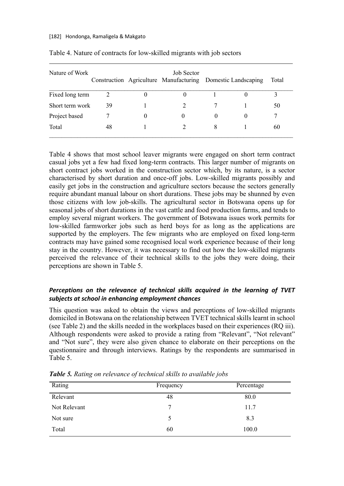#### [182] Hondonga, Ramaligela & Makgato

| Nature of Work  |    | Job Sector<br>Construction Agriculture Manufacturing Domestic Landscaping |   |          | Total |
|-----------------|----|---------------------------------------------------------------------------|---|----------|-------|
| Fixed long term | 2  |                                                                           |   |          |       |
| Short term work | 39 |                                                                           |   |          | 50    |
| Project based   |    | $\theta$                                                                  |   | $\theta$ |       |
| Total           | 48 |                                                                           | 8 |          | 60    |

Table 4. Nature of contracts for low-skilled migrants with job sectors

Table 4 shows that most school leaver migrants were engaged on short term contract casual jobs yet a few had fixed long-term contracts. This larger number of migrants on short contract jobs worked in the construction sector which, by its nature, is a sector characterised by short duration and once-off jobs. Low-skilled migrants possibly and easily get jobs in the construction and agriculture sectors because the sectors generally require abundant manual labour on short durations. These jobs may be shunned by even those citizens with low job-skills. The agricultural sector in Botswana opens up for seasonal jobs of short durations in the vast cattle and food production farms, and tends to employ several migrant workers. The government of Botswana issues work permits for low-skilled farmworker jobs such as herd boys for as long as the applications are supported by the employers. The few migrants who are employed on fixed long-term contracts may have gained some recognised local work experience because of their long stay in the country. However, it was necessary to find out how the low-skilled migrants perceived the relevance of their technical skills to the jobs they were doing, their perceptions are shown in Table 5.

# *Perceptions on the relevance of technical skills acquired in the learning of TVET subjects at school in enhancing employment chances*

This question was asked to obtain the views and perceptions of low-skilled migrants domiciled in Botswana on the relationship between TVET technical skills learnt in school (see Table 2) and the skills needed in the workplaces based on their experiences (RQ iii). Although respondents were asked to provide a rating from "Relevant", "Not relevant" and "Not sure", they were also given chance to elaborate on their perceptions on the questionnaire and through interviews. Ratings by the respondents are summarised in Table 5.

| Rating       | Frequency | Percentage |
|--------------|-----------|------------|
| Relevant     | 48        | 80.0       |
| Not Relevant | 7         | 11.7       |
| Not sure     |           | 8.3        |
| Total        | 60        | 100.0      |

*Table 5. Rating on relevance of technical skills to available jobs*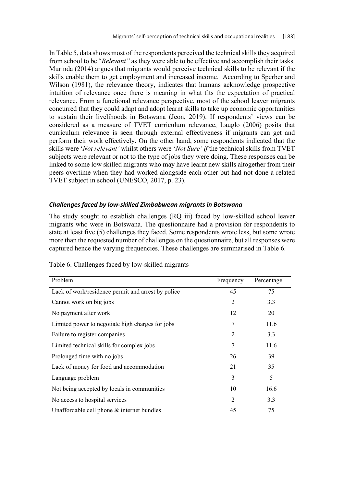In Table 5, data shows most of the respondents perceived the technical skills they acquired from school to be "*Relevant"* as they were able to be effective and accomplish their tasks. Murinda (2014) argues that migrants would perceive technical skills to be relevant if the skills enable them to get employment and increased income. According to Sperber and Wilson (1981), the relevance theory, indicates that humans acknowledge prospective intuition of relevance once there is meaning in what fits the expectation of practical relevance. From a functional relevance perspective, most of the school leaver migrants concurred that they could adapt and adopt learnt skills to take up economic opportunities to sustain their livelihoods in Botswana (Jeon, 2019). If respondents' views can be considered as a measure of TVET curriculum relevance, Lauglo (2006) posits that curriculum relevance is seen through external effectiveness if migrants can get and perform their work effectively. On the other hand, some respondents indicated that the skills were '*Not relevant'* whilst others were '*Not Sure' if* the technical skills from TVET subjects were relevant or not to the type of jobs they were doing. These responses can be linked to some low skilled migrants who may have learnt new skills altogether from their peers overtime when they had worked alongside each other but had not done a related TVET subject in school (UNESCO, 2017, p. 23).

#### *Challenges faced by low-skilled Zimbabwean migrants in Botswana*

The study sought to establish challenges (RQ iii) faced by low-skilled school leaver migrants who were in Botswana. The questionnaire had a provision for respondents to state at least five (5) challenges they faced. Some respondents wrote less, but some wrote more than the requested number of challenges on the questionnaire, but all responses were captured hence the varying frequencies. These challenges are summarised in Table 6.

| Problem                                            | Frequency      | Percentage |
|----------------------------------------------------|----------------|------------|
| Lack of work/residence permit and arrest by police | 45             | 75         |
| Cannot work on big jobs                            | 2              | 3.3        |
| No payment after work                              | 12             | 20         |
| Limited power to negotiate high charges for jobs   | 7              | 11.6       |
| Failure to register companies                      | 2              | 3.3        |
| Limited technical skills for complex jobs          | 7              | 11.6       |
| Prolonged time with no jobs                        | 26             | 39         |
| Lack of money for food and accommodation           | 21             | 35         |
| Language problem                                   | 3              | 5          |
| Not being accepted by locals in communities        | 10             | 16.6       |
| No access to hospital services                     | $\overline{2}$ | 3.3        |
| Unaffordable cell phone & internet bundles         | 45             | 75         |

Table 6. Challenges faced by low-skilled migrants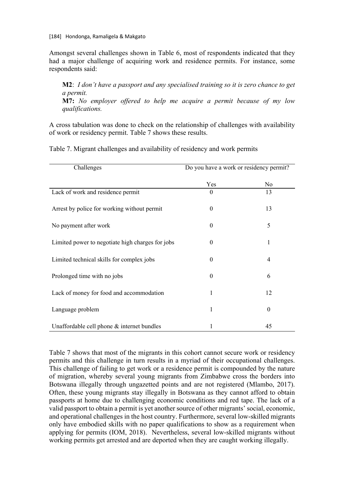[184] Hondonga, Ramaligela & Makgato

Amongst several challenges shown in Table 6, most of respondents indicated that they had a major challenge of acquiring work and residence permits. For instance, some respondents said:

**M2**: *I don't have a passport and any specialised training so it is zero chance to get a permit.* **M7:** *No employer offered to help me acquire a permit because of my low* 

*qualifications.*

A cross tabulation was done to check on the relationship of challenges with availability of work or residency permit. Table 7 shows these results.

| Challenges                                       | Do you have a work or residency permit? |                  |  |
|--------------------------------------------------|-----------------------------------------|------------------|--|
|                                                  | Yes                                     | N <sub>o</sub>   |  |
| Lack of work and residence permit                | $\theta$                                | 13               |  |
| Arrest by police for working without permit      | $\theta$                                | 13               |  |
| No payment after work                            | $\theta$                                | 5                |  |
| Limited power to negotiate high charges for jobs | 0                                       | 1                |  |
| Limited technical skills for complex jobs        | $\Omega$                                | $\overline{4}$   |  |
| Prolonged time with no jobs                      | $\theta$                                | 6                |  |
| Lack of money for food and accommodation         | 1                                       | 12               |  |
| Language problem                                 |                                         | $\boldsymbol{0}$ |  |
| Unaffordable cell phone $&$ internet bundles     |                                         | 45               |  |

Table 7. Migrant challenges and availability of residency and work permits

Table 7 shows that most of the migrants in this cohort cannot secure work or residency permits and this challenge in turn results in a myriad of their occupational challenges. This challenge of failing to get work or a residence permit is compounded by the nature of migration, whereby several young migrants from Zimbabwe cross the borders into Botswana illegally through ungazetted points and are not registered (Mlambo, 2017). Often, these young migrants stay illegally in Botswana as they cannot afford to obtain passports at home due to challenging economic conditions and red tape. The lack of a valid passport to obtain a permit is yet another source of other migrants' social, economic, and operational challenges in the host country. Furthermore, several low-skilled migrants only have embodied skills with no paper qualifications to show as a requirement when applying for permits (IOM, 2018). Nevertheless, several low-skilled migrants without working permits get arrested and are deported when they are caught working illegally.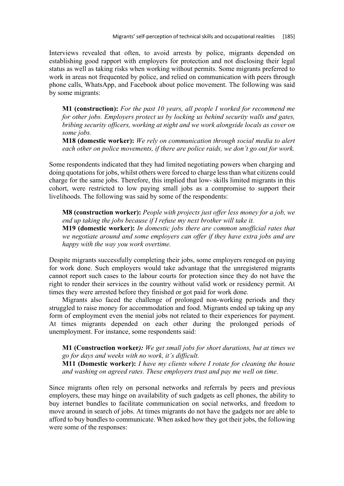Interviews revealed that often, to avoid arrests by police, migrants depended on establishing good rapport with employers for protection and not disclosing their legal status as well as taking risks when working without permits. Some migrants preferred to work in areas not frequented by police, and relied on communication with peers through phone calls, WhatsApp, and Facebook about police movement. The following was said by some migrants:

**M1 (construction):** *For the past 10 years, all people I worked for recommend me for other jobs. Employers protect us by locking us behind security walls and gates, bribing security officers, working at night and we work alongside locals as cover on some jobs.*

**M18 (domestic worker):** *We rely on communication through social media to alert each other on police movements, if there are police raids, we don't go out for work.*

Some respondents indicated that they had limited negotiating powers when charging and doing quotations for jobs, whilst others were forced to charge less than what citizens could charge for the same jobs. Therefore, this implied that low- skills limited migrants in this cohort, were restricted to low paying small jobs as a compromise to support their livelihoods. The following was said by some of the respondents:

**M8 (construction worker):** *People with projects just offer less money for a job, we end up taking the jobs because if I refuse my next brother will take it.* **M19 (domestic worker):** *In domestic jobs there are common unofficial rates that we negotiate around and some employers can offer if they have extra jobs and are happy with the way you work overtime.*

Despite migrants successfully completing their jobs, some employers reneged on paying for work done. Such employers would take advantage that the unregistered migrants cannot report such cases to the labour courts for protection since they do not have the right to render their services in the country without valid work or residency permit. At times they were arrested before they finished or got paid for work done.

Migrants also faced the challenge of prolonged non-working periods and they struggled to raise money for accommodation and food. Migrants ended up taking up any form of employment even the menial jobs not related to their experiences for payment. At times migrants depended on each other during the prolonged periods of unemployment. For instance, some respondents said:

**M1 (Construction worker***): We get small jobs for short durations, but at times we go for days and weeks with no work, it's difficult.*

**M11 (Domestic worker):** *I have my clients where I rotate for cleaning the house and washing on agreed rates. These employers trust and pay me well on time.*

Since migrants often rely on personal networks and referrals by peers and previous employers, these may hinge on availability of such gadgets as cell phones, the ability to buy internet bundles to facilitate communication on social networks, and freedom to move around in search of jobs. At times migrants do not have the gadgets nor are able to afford to buy bundles to communicate. When asked how they got their jobs, the following were some of the responses: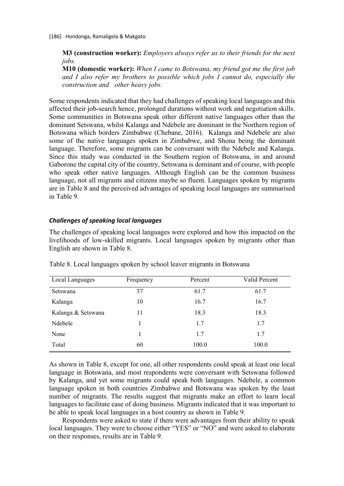**M3 (construction worker):** *Employers always refer us to their friends for the next jobs.*

**M10 (domestic worker):** *When I came to Botswana, my friend got me the first job and I also refer my brothers to possible which jobs I cannot do, especially the construction and other heavy jobs.*

Some respondents indicated that they had challenges of speaking local languages and this affected their job-search hence, prolonged durations without work and negotiation skills. Some communities in Botswana speak other different native languages other than the dominant Setswana, whilst Kalanga and Ndebele are dominant in the Northern region of Botswana which borders Zimbabwe (Chebane, 2016). Kalanga and Ndebele are also some of the native languages spoken in Zimbabwe, and Shona being the dominant language. Therefore, some migrants can be conversant with the Ndebele and Kalanga. Since this study was conducted in the Southern region of Botswana, in and around Gaborone the capital city of the country, Setswana is dominant and of course, with people who speak other native languages. Although English can be the common business language, not all migrants and citizens maybe so fluent. Languages spoken by migrants are in Table 8 and the perceived advantages of speaking local languages are summarised in Table 9.

## *Challenges of speaking local languages*

The challenges of speaking local languages were explored and how this impacted on the livelihoods of low-skilled migrants. Local languages spoken by migrants other than English are shown in Table 8.

| Local Languages    | Frequency | Percent | Valid Percent |
|--------------------|-----------|---------|---------------|
| Setswana           | 37        | 61.7    | 61.7          |
| Kalanga            | 10        | 16.7    | 16.7          |
| Kalanga & Setswana | 11        | 18.3    | 18.3          |
| Ndebele            |           | 1.7     | 1.7           |
| None               |           | 1.7     | 1.7           |
| Total              | 60        | 100.0   | 100.0         |

Table 8. Local languages spoken by school leaver migrants in Botswana

As shown in Table 8, except for one, all other respondents could speak at least one local language in Botswana, and most respondents were conversant with Setswana followed by Kalanga, and yet some migrants could speak both languages. Ndebele, a common language spoken in both countries Zimbabwe and Botswana was spoken by the least number of migrants. The results suggest that migrants make an effort to learn local languages to facilitate ease of doing business. Migrants indicated that it was important to be able to speak local languages in a host country as shown in Table 9.

Respondents were asked to state if there were advantages from their ability to speak local languages. They were to choose either "YES" or "NO" and were asked to elaborate on their responses, results are in Table 9.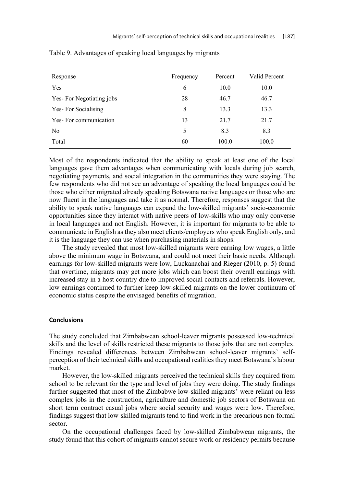| Response                 | Frequency | Percent | Valid Percent |
|--------------------------|-----------|---------|---------------|
| Yes                      | 6         | 10.0    | 10.0          |
| Yes-For Negotiating jobs | 28        | 46.7    | 46.7          |
| Yes-For Socialising      | 8         | 13.3    | 13.3          |
| Yes-For communication    | 13        | 21.7    | 21.7          |
| No                       | 5         | 8.3     | 8.3           |
| Total                    | 60        | 100.0   | 100.0         |

Table 9. Advantages of speaking local languages by migrants

Most of the respondents indicated that the ability to speak at least one of the local languages gave them advantages when communicating with locals during job search, negotiating payments, and social integration in the communities they were staying. The few respondents who did not see an advantage of speaking the local languages could be those who either migrated already speaking Botswana native languages or those who are now fluent in the languages and take it as normal. Therefore, responses suggest that the ability to speak native languages can expand the low-skilled migrants' socio-economic opportunities since they interact with native peers of low-skills who may only converse in local languages and not English. However, it is important for migrants to be able to communicate in English as they also meet clients/employers who speak English only, and it is the language they can use when purchasing materials in shops.

The study revealed that most low-skilled migrants were earning low wages, a little above the minimum wage in Botswana, and could not meet their basic needs. Although earnings for low-skilled migrants were low, Luckanachai and Rieger (2010, p. 5) found that overtime, migrants may get more jobs which can boost their overall earnings with increased stay in a host country due to improved social contacts and referrals. However, low earnings continued to further keep low-skilled migrants on the lower continuum of economic status despite the envisaged benefits of migration.

## **Conclusions**

The study concluded that Zimbabwean school-leaver migrants possessed low-technical skills and the level of skills restricted these migrants to those jobs that are not complex. Findings revealed differences between Zimbabwean school-leaver migrants' selfperception of their technical skills and occupational realities they meet Botswana's labour market.

However, the low-skilled migrants perceived the technical skills they acquired from school to be relevant for the type and level of jobs they were doing. The study findings further suggested that most of the Zimbabwe low-skilled migrants' were reliant on less complex jobs in the construction, agriculture and domestic job sectors of Botswana on short term contract casual jobs where social security and wages were low. Therefore, findings suggest that low-skilled migrants tend to find work in the precarious non-formal sector.

On the occupational challenges faced by low-skilled Zimbabwean migrants, the study found that this cohort of migrants cannot secure work or residency permits because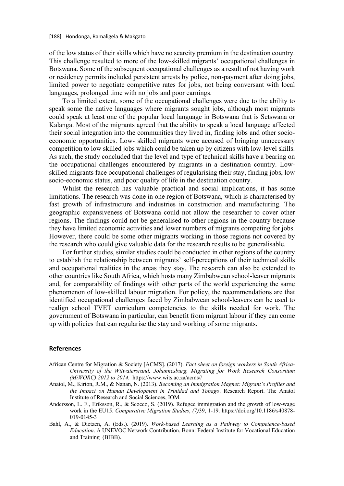of the low status of their skills which have no scarcity premium in the destination country. This challenge resulted to more of the low-skilled migrants' occupational challenges in Botswana. Some of the subsequent occupational challenges as a result of not having work or residency permits included persistent arrests by police, non-payment after doing jobs, limited power to negotiate competitive rates for jobs, not being conversant with local languages, prolonged time with no jobs and poor earnings.

To a limited extent, some of the occupational challenges were due to the ability to speak some the native languages where migrants sought jobs, although most migrants could speak at least one of the popular local language in Botswana that is Setswana or Kalanga. Most of the migrants agreed that the ability to speak a local language affected their social integration into the communities they lived in, finding jobs and other socioeconomic opportunities. Low- skilled migrants were accused of bringing unnecessary competition to low skilled jobs which could be taken up by citizens with low-level skills. As such, the study concluded that the level and type of technical skills have a bearing on the occupational challenges encountered by migrants in a destination country. Lowskilled migrants face occupational challenges of regularising their stay, finding jobs, low socio-economic status, and poor quality of life in the destination country.

Whilst the research has valuable practical and social implications, it has some limitations. The research was done in one region of Botswana, which is characterised by fast growth of infrastructure and industries in construction and manufacturing. The geographic expansiveness of Botswana could not allow the researcher to cover other regions. The findings could not be generalised to other regions in the country because they have limited economic activities and lower numbers of migrants competing for jobs. However, there could be some other migrants working in those regions not covered by the research who could give valuable data for the research results to be generalisable.

For further studies, similar studies could be conducted in other regions of the country to establish the relationship between migrants' self-perceptions of their technical skills and occupational realities in the areas they stay. The research can also be extended to other countries like South Africa, which hosts many Zimbabwean school-leaver migrants and, for comparability of findings with other parts of the world experiencing the same phenomenon of low-skilled labour migration. For policy, the recommendations are that identified occupational challenges faced by Zimbabwean school-leavers can be used to realign school TVET curriculum competencies to the skills needed for work. The government of Botswana in particular, can benefit from migrant labour if they can come up with policies that can regularise the stay and working of some migrants.

#### **References**

- African Centre for Migration & Society [ACMS]. (2017). *Fact sheet on foreign workers in South Africa-University of the Witwatersrand, Johannesburg, Migrating for Work Research Consortium (MiWORC) 2012 to 2014.* https://www.wits.ac.za/acms//
- Anatol, M., Kirton, R.M., & Nanan, N. (2013). *Becoming an Immigration Magnet: Migrant's Profiles and the Impact on Human Development in Trinidad and Tobago*. Research Report. The Anatol Institute of Research and Social Sciences, IOM.
- Andersson, L. F., Eriksson, R., & Scocco, S. (2019). Refugee immigration and the growth of low-wage work in the EU15. *Comparative Migration Studies*, *(7)*39, 1-19. https://doi.org/10.1186/s40878- 019-0145-3
- Bahl, A., & Dietzen, A. (Eds.). (2019). *Work-based Learning as a Pathway to Competence-based Education*. A UNEVOC Network Contribution. Bonn: Federal Institute for Vocational Education and Training (BIBB).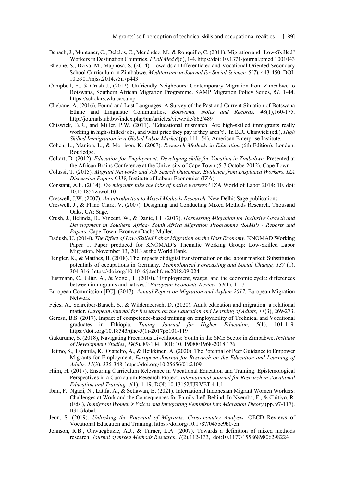- Benach, J., Muntaner, C., Delclos, C., Menéndez, M., & Ronquillo, C. (2011). Migration and "Low-Skilled" Workers in Destination Countries. *PLoS Med 8*(6), 1-4. https:/doi: 10.1371/journal.pmed.1001043
- Bhebhe, S., Dziva, M., Maphosa, S. (2014). Towards a Differentiated and Vocational Oriented Secondary School Curriculum in Zimbabwe*, Mediterranean Journal for Social Science,* 5(7), 443-450. DOI: 10.5901/mjss.2014.v5n7p443
- Campbell, E., & Crush J., (2012). Unfriendly Neighbours: Contemporary Migration from Zimbabwe to Botswana, Southern African Migration Programme. SAMP Migration Policy Series, *61*, 1-44. https://scholars.wlu.ca/samp
- Chebane, A. (2016). Found and Lost Languages: A Survey of the Past and Current Situation of Botswana Ethnic and Linguistic Communities. *Botswana, Notes and Records, 48*(1),160-175. http://journals.ub.bw/index.php/bnr/articles/viewFile/862/489
- Chiswick, B.R., and Miller, P.W. (2011). 'Educational mismatch: Are high-skilled immigrants really working in high-skilled jobs, and what price they pay if they aren't'. In B.R. Chiswick (ed.), *High Skilled Immigration in a Global Labor Market* (pp. 111–54). American Enterprise Institute.
- Cohen, L., Manion, L., & Morrison, K. (2007). *Research Methods in Education* (6th Edition). London: Routledge.
- Coltart, D. (2012). *Education for Employment: Developing skills for Vocation in Zimbabwe*. Presented at the African Brains Conference at the University of Cape Town (5-7 October2012). Cape Town.
- Colussi, T. (2015). *Migrant Networks and Job Search Outcomes: Evidence from Displaced Workers. IZA Discussion Papers 9339,* Institute of Labour Economics (IZA).
- Constant, A.F. (2014). *Do migrants take the jobs of native workers?* IZA World of Labor 2014: 10. doi: 10.15185/izawol.10

Creswell, J.W. (2007). *An introduction to Mixed Methods Research.* New Delhi: Sage publications.

- Creswell, J., & Plano Clark, V. (2007). Designing and Conducting Mixed Methods Research. Thousand Oaks, CA: Sage.
- Crush, J., Belinda, D., Vincent, W., & Danie, l.T. (2017). *Harnessing Migration for Inclusive Growth and Development in Southern Africa- South Africa Migration Programme (SAMP) - Reports and Papers.* Cape Town: BronwenDachs Muller.
- Dadush, U. (2014). *The Effect of Low-Skilled Labor Migration on the Host Economy*. KNOMAD Working Paper 1. Paper produced for KNOMAD's Thematic Working Group: Low-Skilled Labor Migration, November 13, 2013 at the World Bank.
- Dengler, K., & Matthes, B. (2018). The impacts of digital transformation on the labour market: Substitution potentials of occupations in Germany. *Technological Forecasting and Social Change, 137* (1), 304-316. https://doi.org/10.1016/j.techfore.2018.09.024
- Dustmann, C., Glitz, A., & Vogel, T. (2010). "Employment, wages, and the economic cycle: differences between immigrants and natives." *European Economic Review*. *54*(1), 1-17.
- European Commission [EC]. (2017). *Annual Report on Migration and Asylum 2017*. European Migration Network.
- Fejes, A., Schreiber-Barsch, S., & Wildemeersch, D. (2020). Adult education and migration: a relational matter. *European Journal for Research on the Education and Learning of Adults, 11*(3), 269-273.
- Geresu, B.S. (2017). Impact of competence-based training on employability of Technical and Vocational graduates in Ethiopia. *Tuning Journal for Higher Education, 5*(1), 101-119. https://doi:.org/10.18543/tjhe-5(1)-2017pp101-119
- Gukurume, S. (2018), Navigating Precarious Livelihoods: Youth in the SME Sector in Zimbabwe, *Institute of Development Studies*, *49*(5), 89-104. DOI: 10. 19088/1968-2018.176
- Heimo, S., Tapanila, K., Ojapelto, A., & Heikkinen, A. (2020). The Potential of Peer Guidance to Empower Migrants for Employment, *European Journal for Research on the Education and Learning of Adults, 11*(3), 335-348. https://doi.org/10.25656/01:21091
- Hiim, H. (2017). Ensuring Curriculum Relevance in Vocational Education and Training: Epistemological Perspectives in a Curriculum Research Project. *International Journal for Research in Vocational Education and Training, 4*(1), 1-19. DOI: 10.13152/IJRVET.4.1.1
- Ibnu, F., Ngadi, N., Latifa, A., & Setiawan, B. (2021). International Indonesian Migrant Women Workers: Challenges at Work and the Consequences for Family Left Behind. In Nyemba, F., & Chitiyo, R. (Eds.), *Immigrant Women's Voices and Integrating Feminism Into Migration Theory* (pp. 97-117). IGI Global.
- Jeon, S. (2019). *Unlocking the Potential of Migrants: Cross-country Analysis.* OECD Reviews of Vocational Education and Training. https://doi.org/10.1787/045be9b0-en
- Johnson, R.B., Onwuegbuzie, A.J., & Turner, L.A. (2007). Towards a definition of mixed methods research. *Journal of mixed Methods Research, 1*(2),112-133, doi:10.1177/1558689806298224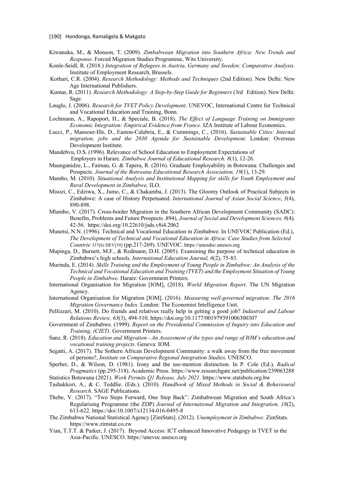- Kiwanuka, M., & Monson, T. (2009). *Zimbabwean Migration into Southern Africa: New Trends and Response*. Forced Migration Studies Programme, Wits University.
- Konle-Seidl, R. (2018.) *Integration of Refugees in Austria, Germany and Sweden: Comparative Analysis.* Institute of Employment Research, Brussels.
- Kothari, C.R. (2004). *Research Methodology: Methods and Techniques* (2nd Edition). New Delhi: New Age International Publishers.
- Kumar, R. (2011). *Research Methodology: A Step-by-Step Guide for Beginners* (3rd Edition). New Delhi: Sage.
- Lauglo, J. (2006). *Research for TVET Policy Development*. UNEVOC, International Centre for Technical and Vocational Education and Training, Bonn.
- Lochmann, A., Rapoport, H., & Speciale, B. (2018). *The Effect of Language Training on Immigrants Economic Integration: Empirical Evidence from France*. IZA Institute of Labour Economics.
- Lucci, P., Mansour-Ille, D., Easton-Calabria, E., & Cummings, C., (2016). *Sustainable Cities: Internal migration, jobs and the 2030 Agenda for Sustainable Development*. London: Overseas Development Institute.
- Mandebvu, O.S. (1996). Relevance of School Education to Employment Expectations of Employers in Harare. *Zimbabwe Journal of Educational Research. 8*(1), 12-26.
- Maunganidze, L., Faimau, G. & Tapera, R. (2016). Graduate Employability in Botswana: Challenges and Prospects*. Journal of the Botswana Educational Research Association, 19*(1), 13-29.
- Mambo, M. (2010). *Situational Analysis and Institutional Mapping for skills for Youth Employment and Rural Development in Zimbabwe,* ILO.
- Misozi, C., Edziwa, X., Jumo, C., & Chakamba, J. (2013). The Gloomy Outlook of Practical Subjects in Zimbabwe: A case of History Perpetuated. *International Journal of Asian Social Science*, *3*(4), 890-898.
- Mlambo, V. (2017). Cross-border Migration in the Southern African Development Community (SADC): Benefits, Problems and Future Prospects .894), *Journal of Social and Development Sciences, 8*(4)*,*  42-56. https://doi.org/10.22610/jsds.v8i4.2062
- Munetsi, N.N. (1996). Technical and Vocational Education in Zimbabwe. In UNEVOC Publication (Ed.), *The Development of Technical and Vocational Education in Africa: Case Studies from Selected Countrie* 337(6) DEV[59] (pp.217-269). UNEVOC. https://unesdoc.unesco.org
- Mupinga, D., Burnett, M.F., & Redmann, D.H. (2005). Examining the purpose of technical education in Zimbabwe's high schools*, International Education Journal, 6*(2), 75-83.
- Murinda, E. (2014). *Skills Training and the Employment of Young People in Zimbabwe: An Analysis of the Technical and Vocational Education and Training (TVET) and the Employment Situation of Young People in Zimbabwe*. Harare: Government Printers.
- International Organisation for Migration [IOM], (2018). *World Migration Report*. The UN Migration Agency.
- International Organisation for Migration [IOM]. (2016). *Measuring well-governed migration: The 2016 Migration Governance Index.* London: The Economist Intelligence Unit.
- Pellizzari, M. (2010). Do friends and relatives really help in getting a good job? *Industrial and Labour Relations Review, 63*(3), 494-510. https://doi.org/10.1177/001979391006300307
- Government of Zimbabwe. (1999). *Report on the Presidential Commission of Inquiry into Education and Training, (CIET)*. Government Printers.
- Sanz, R. (2018). *Education and Migration - An Assessment of the types and range of IOM's education and vocational training projects*. Geneva: IOM.
- Segatti, A. (2017). The Sothern African Development Community: a walk away from the free movement of persons?, *Institute on Comparative Regional Integration Studies,* UNESCO.
- Sperber, D., & Wilson, D. (1981). Irony and the use-mention distinction. In P. Cole (Ed.), *Radical Pragmatics* (pp.295-318). Academic Press. https://www.researchgate.net/publication/239063288 Statistics Botswana (2021). *Work Permits Q1 Release, July 2021*. https://www.statsbots.org.bw
- Tashakkori, A., & C. Teddlie. (Eds.). (2010). *Handbook of Mixed Methods in Social & Behavioural Research*. SAGE Publications.
- Thebe, V. (2017). "Two Steps Forward, One Step Back": Zimbabwean Migration and South Africa's Regularising Programme (the ZDP) *Journal of International Migration and Integration, 18*(2), 613-622. https://doi:10.1007/s12134-016-0495-8
- The Zimbabwe National Statistical Agency [ZimStats]. (2012). *Unemployment in Zimbabwe*. ZimStats. https://www.zimstat.co.zw
- Yian, T.T.T. & Parker, J. (2017). Beyond Access: ICT enhanced Innovative Pedagogy in TVET in the Asia-Pacific. UNESCO. https://unevoc.unesco.org